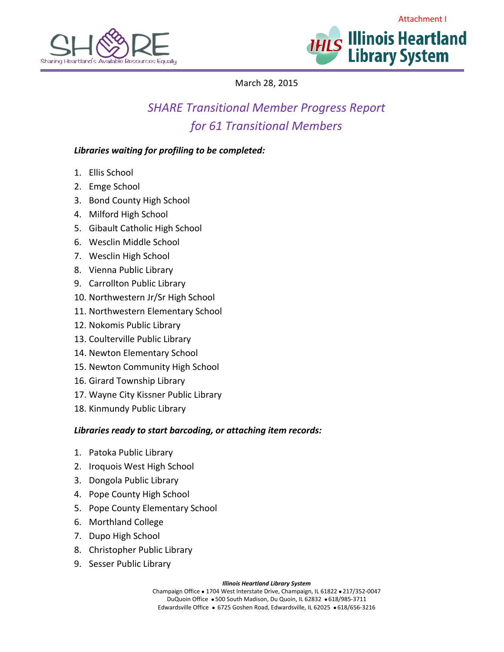



March 28, 2015

# *SHARE Transitional Member Progress Report for 61 Transitional Members*

## *Libraries waiting for profiling to be completed:*

- 1. Ellis School
- 2. Emge School
- 3. Bond County High School
- 4. Milford High School
- 5. Gibault Catholic High School
- 6. Wesclin Middle School
- 7. Wesclin High School
- 8. Vienna Public Library
- 9. Carrollton Public Library
- 10. Northwestern Jr/Sr High School
- 11. Northwestern Elementary School
- 12. Nokomis Public Library
- 13. Coulterville Public Library
- 14. Newton Elementary School
- 15. Newton Community High School
- 16. Girard Township Library
- 17. Wayne City Kissner Public Library
- 18. Kinmundy Public Library

## *Libraries ready to start barcoding, or attaching item records:*

- 1. Patoka Public Library
- 2. Iroquois West High School
- 3. Dongola Public Library
- 4. Pope County High School
- 5. Pope County Elementary School
- 6. Morthland College
- 7. Dupo High School
- 8. Christopher Public Library
- 9. Sesser Public Library

#### *Illinois Heartland Library System*